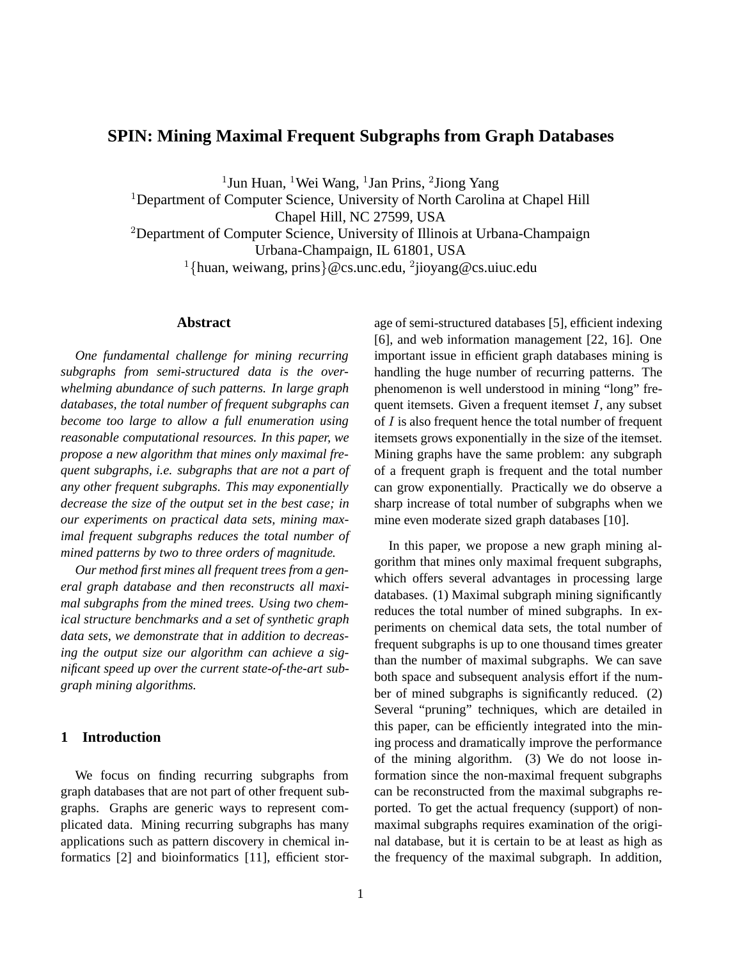# **SPIN: Mining Maximal Frequent Subgraphs from Graph Databases**

<sup>1</sup> Jun Huan, <sup>1</sup> Wei Wang, <sup>1</sup> Jan Prins, <sup>2</sup> Jiong Yang <sup>1</sup>Department of Computer Science, University of North Carolina at Chapel Hill Chapel Hill, NC 27599, USA <sup>2</sup>Department of Computer Science, University of Illinois at Urbana-Champaign Urbana-Champaign, IL 61801, USA <sup>1</sup>{huan, weiwang, prins}@cs.unc.edu, <sup>2</sup>jioyang@cs.uiuc.edu

## **Abstract**

*One fundamental challenge for mining recurring subgraphs from semi-structured data is the overwhelming abundance of such patterns. In large graph databases, the total number of frequent subgraphs can become too large to allow a full enumeration using reasonable computational resources. In this paper, we propose a new algorithm that mines only maximal frequent subgraphs, i.e. subgraphs that are not a part of any other frequent subgraphs. This may exponentially decrease the size of the output set in the best case; in our experiments on practical data sets, mining maximal frequent subgraphs reduces the total number of mined patterns by two to three orders of magnitude.*

*Our method first mines all frequent trees from a general graph database and then reconstructs all maximal subgraphs from the mined trees. Using two chemical structure benchmarks and a set of synthetic graph data sets, we demonstrate that in addition to decreasing the output size our algorithm can achieve a significant speed up over the current state-of-the-art subgraph mining algorithms.*

## **1 Introduction**

We focus on finding recurring subgraphs from graph databases that are not part of other frequent subgraphs. Graphs are generic ways to represent complicated data. Mining recurring subgraphs has many applications such as pattern discovery in chemical informatics [2] and bioinformatics [11], efficient storage of semi-structured databases [5], efficient indexing [6], and web information management [22, 16]. One important issue in efficient graph databases mining is handling the huge number of recurring patterns. The phenomenon is well understood in mining "long" frequent itemsets. Given a frequent itemset  $I$ , any subset of I is also frequent hence the total number of frequent itemsets grows exponentially in the size of the itemset. Mining graphs have the same problem: any subgraph of a frequent graph is frequent and the total number can grow exponentially. Practically we do observe a sharp increase of total number of subgraphs when we mine even moderate sized graph databases [10].

In this paper, we propose a new graph mining algorithm that mines only maximal frequent subgraphs, which offers several advantages in processing large databases. (1) Maximal subgraph mining significantly reduces the total number of mined subgraphs. In experiments on chemical data sets, the total number of frequent subgraphs is up to one thousand times greater than the number of maximal subgraphs. We can save both space and subsequent analysis effort if the number of mined subgraphs is significantly reduced. (2) Several "pruning" techniques, which are detailed in this paper, can be efficiently integrated into the mining process and dramatically improve the performance of the mining algorithm. (3) We do not loose information since the non-maximal frequent subgraphs can be reconstructed from the maximal subgraphs reported. To get the actual frequency (support) of nonmaximal subgraphs requires examination of the original database, but it is certain to be at least as high as the frequency of the maximal subgraph. In addition,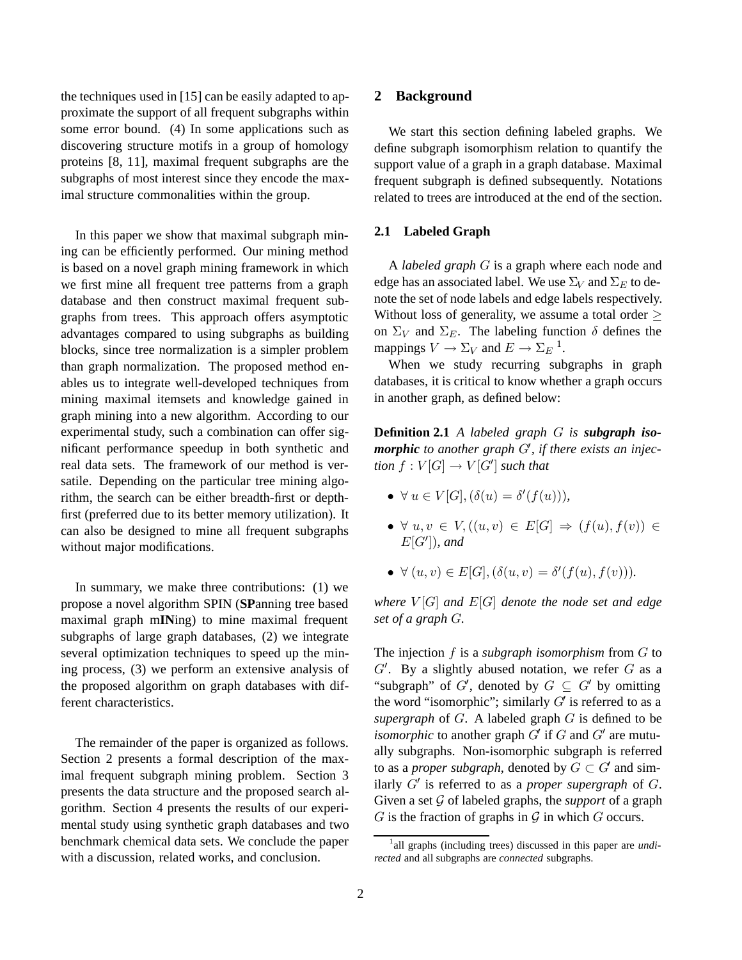the techniques used in [15] can be easily adapted to approximate the support of all frequent subgraphs within some error bound. (4) In some applications such as discovering structure motifs in a group of homology proteins [8, 11], maximal frequent subgraphs are the subgraphs of most interest since they encode the maximal structure commonalities within the group.

In this paper we show that maximal subgraph mining can be efficiently performed. Our mining method is based on a novel graph mining framework in which we first mine all frequent tree patterns from a graph database and then construct maximal frequent subgraphs from trees. This approach offers asymptotic advantages compared to using subgraphs as building blocks, since tree normalization is a simpler problem than graph normalization. The proposed method enables us to integrate well-developed techniques from mining maximal itemsets and knowledge gained in graph mining into a new algorithm. According to our experimental study, such a combination can offer significant performance speedup in both synthetic and real data sets. The framework of our method is versatile. Depending on the particular tree mining algorithm, the search can be either breadth-first or depthfirst (preferred due to its better memory utilization). It can also be designed to mine all frequent subgraphs without major modifications.

In summary, we make three contributions: (1) we propose a novel algorithm SPIN (**SP**anning tree based maximal graph m**IN**ing) to mine maximal frequent subgraphs of large graph databases, (2) we integrate several optimization techniques to speed up the mining process, (3) we perform an extensive analysis of the proposed algorithm on graph databases with different characteristics.

The remainder of the paper is organized as follows. Section 2 presents a formal description of the maximal frequent subgraph mining problem. Section 3 presents the data structure and the proposed search algorithm. Section 4 presents the results of our experimental study using synthetic graph databases and two benchmark chemical data sets. We conclude the paper with a discussion, related works, and conclusion.

### **2 Background**

We start this section defining labeled graphs. We define subgraph isomorphism relation to quantify the support value of a graph in a graph database. Maximal frequent subgraph is defined subsequently. Notations related to trees are introduced at the end of the section.

#### **2.1 Labeled Graph**

A *labeled graph* G is a graph where each node and edge has an associated label. We use  $\Sigma_V$  and  $\Sigma_E$  to denote the set of node labels and edge labels respectively. Without loss of generality, we assume a total order  $\geq$ on  $\Sigma_V$  and  $\Sigma_E$ . The labeling function  $\delta$  defines the mappings  $V \to \Sigma_V$  and  $E \to \Sigma_E^{-1}$ .

When we study recurring subgraphs in graph databases, it is critical to know whether a graph occurs in another graph, as defined below:

**Definition 2.1** *A labeled graph* G *is subgraph isomorphic to another graph* G *, if there exists an injection*  $f: V[G] \to V[G']$  *such that* 

- $\bullet \ \forall u \in V[G], (\delta(u) = \delta'(f(u))),$
- $\forall u, v \in V, ((u, v) \in E[G] \Rightarrow (f(u), f(v)) \in$  $E[G$ <sup>'</sup> $]$ *), and*
- $\forall (u, v) \in E[G], (\delta(u, v) = \delta'(f(u), f(v))).$

*where*  $V[G]$  *and*  $E[G]$  *denote the node set and edge set of a graph* G*.*

The injection f is a *subgraph isomorphism* from G to  $G'$ . By a slightly abused notation, we refer  $G$  as a "subgraph" of  $G'$ , denoted by  $G \subseteq G'$  by omitting the word "isomorphic"; similarly  $G'$  is referred to as a *supergraph* of G. A labeled graph G is defined to be *isomorphic* to another graph  $G'$  if  $G$  and  $G'$  are mutually subgraphs. Non-isomorphic subgraph is referred to as a *proper subgraph*, denoted by  $G \subset G$  and similarly  $G'$  is referred to as a *proper supergraph* of  $G$ . Given a set G of labeled graphs, the *support* of a graph G is the fraction of graphs in  $\mathcal G$  in which G occurs.

<sup>&</sup>lt;sup>1</sup>all graphs (including trees) discussed in this paper are *undirected* and all subgraphs are *connected* subgraphs.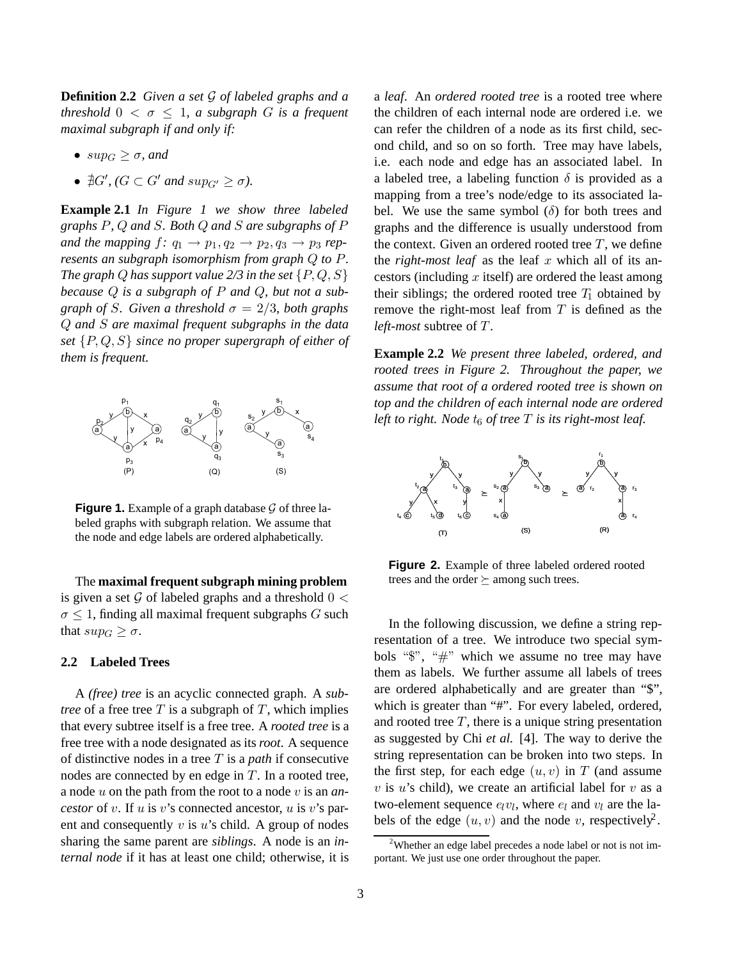**Definition 2.2** *Given a set* G *of labeled graphs and a threshold*  $0 < \sigma \leq 1$ *, a subgraph G is a frequent maximal subgraph if and only if:*

- $sup_G \geq \sigma$ , and
- $\sharp G'$ ,  $(G \subset G'$  and  $sup_{G'} \ge \sigma$ ).

**Example 2.1** *In Figure 1 we show three labeled graphs* P*,* Q *and* S*. Both* Q *and* S *are subgraphs of* P *and the mapping*  $f: q_1 \rightarrow p_1, q_2 \rightarrow p_2, q_3 \rightarrow p_3$  *represents an subgraph isomorphism from graph* Q *to* P*. The graph* Q *has support value* 2/3 *in the set*  $\{P, Q, S\}$ *because* Q *is a subgraph of* P *and* Q*, but not a subgraph of S. Given a threshold*  $\sigma = 2/3$ *, both graphs* Q *and* S *are maximal frequent subgraphs in the data set* {P, Q, S} *since no proper supergraph of either of them is frequent.*



**Figure 1.** Example of a graph database  $\mathcal G$  of three labeled graphs with subgraph relation. We assume that the node and edge labels are ordered alphabetically.

The **maximal frequent subgraph mining problem** is given a set G of labeled graphs and a threshold  $0 <$  $\sigma \leq 1$ , finding all maximal frequent subgraphs G such that  $sup_G \geq \sigma$ .

## **2.2 Labeled Trees**

A *(free) tree* is an acyclic connected graph. A *subtree* of a free tree  $T$  is a subgraph of  $T$ , which implies that every subtree itself is a free tree. A *rooted tree* is a free tree with a node designated as its *root*. A sequence of distinctive nodes in a tree T is a *path* if consecutive nodes are connected by en edge in  $T$ . In a rooted tree, a node u on the path from the root to a node v is an *ancestor* of v. If u is v's connected ancestor, u is v's parent and consequently  $v$  is  $u$ 's child. A group of nodes sharing the same parent are *siblings*. A node is an *internal node* if it has at least one child; otherwise, it is a *leaf*. An *ordered rooted tree* is a rooted tree where the children of each internal node are ordered i.e. we can refer the children of a node as its first child, second child, and so on so forth. Tree may have labels, i.e. each node and edge has an associated label. In a labeled tree, a labeling function  $\delta$  is provided as a mapping from a tree's node/edge to its associated label. We use the same symbol  $(\delta)$  for both trees and graphs and the difference is usually understood from the context. Given an ordered rooted tree  $T$ , we define the *right-most leaf* as the leaf  $x$  which all of its ancestors (including  $x$  itself) are ordered the least among their siblings; the ordered rooted tree  $T_1$  obtained by remove the right-most leaf from  $T$  is defined as the *left-most* subtree of T.

**Example 2.2** *We present three labeled, ordered, and rooted trees in Figure 2. Throughout the paper, we assume that root of a ordered rooted tree is shown on top and the children of each internal node are ordered left to right. Node*  $t_6$  *of tree*  $T$  *is its right-most leaf.* 



**Figure 2.** Example of three labeled ordered rooted trees and the order  $\succeq$  among such trees.

In the following discussion, we define a string representation of a tree. We introduce two special symbols " $\mathcal{F}$ ", " $\#$ " which we assume no tree may have them as labels. We further assume all labels of trees are ordered alphabetically and are greater than "\$", which is greater than "#". For every labeled, ordered, and rooted tree  $T$ , there is a unique string presentation as suggested by Chi *et al.* [4]. The way to derive the string representation can be broken into two steps. In the first step, for each edge  $(u, v)$  in T (and assume  $v$  is  $u$ 's child), we create an artificial label for  $v$  as a two-element sequence  $e_l v_l$ , where  $e_l$  and  $v_l$  are the labels of the edge  $(u, v)$  and the node v, respectively<sup>2</sup>.

<sup>&</sup>lt;sup>2</sup>Whether an edge label precedes a node label or not is not important. We just use one order throughout the paper.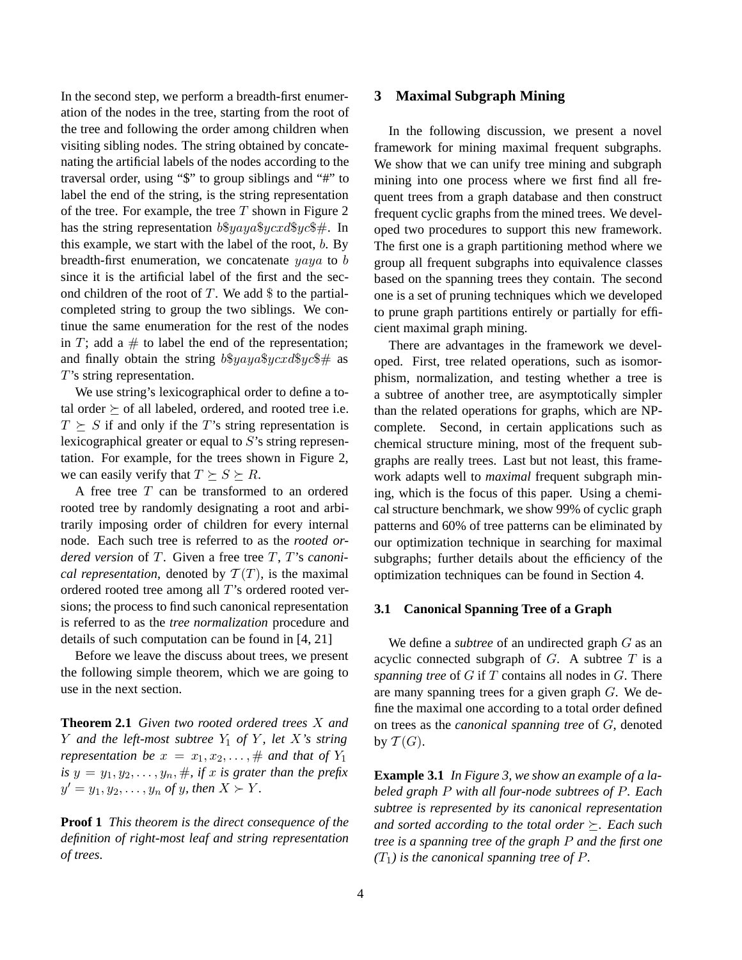In the second step, we perform a breadth-first enumeration of the nodes in the tree, starting from the root of the tree and following the order among children when visiting sibling nodes. The string obtained by concatenating the artificial labels of the nodes according to the traversal order, using "\$" to group siblings and "#" to label the end of the string, is the string representation of the tree. For example, the tree  $T$  shown in Figure 2 has the string representation  $b\frac{2}{3}y\cos\frac{2}{3}x$ . In this example, we start with the label of the root,  $b$ . By breadth-first enumeration, we concatenate  $yaya$  to b since it is the artificial label of the first and the second children of the root of  $T$ . We add  $\$$  to the partialcompleted string to group the two siblings. We continue the same enumeration for the rest of the nodes in T; add a  $#$  to label the end of the representation; and finally obtain the string  $b\$ {y}aya\sycxd\\$yc\\$# as T's string representation.

We use string's lexicographical order to define a total order  $\succeq$  of all labeled, ordered, and rooted tree i.e.  $T \succeq S$  if and only if the T's string representation is lexicographical greater or equal to S's string representation. For example, for the trees shown in Figure 2, we can easily verify that  $T \succeq S \succeq R$ .

A free tree  $T$  can be transformed to an ordered rooted tree by randomly designating a root and arbitrarily imposing order of children for every internal node. Each such tree is referred to as the *rooted ordered version* of T. Given a free tree T, T's *canonical representation*, denoted by  $T(T)$ , is the maximal ordered rooted tree among all T's ordered rooted versions; the process to find such canonical representation is referred to as the *tree normalization* procedure and details of such computation can be found in [4, 21]

Before we leave the discuss about trees, we present the following simple theorem, which we are going to use in the next section.

**Theorem 2.1** *Given two rooted ordered trees* X *and* Y *and the left-most subtree* Y<sup>1</sup> *of* Y *, let* X*'s string representation be*  $x = x_1, x_2, \ldots, \#$  *and that of*  $Y_1$ *is*  $y = y_1, y_2, \ldots, y_n, \#$ *, if* x *is grater than the prefix*  $y' = y_1, y_2, \ldots, y_n$  of y, then  $X \succ Y$ .

**Proof 1** *This theorem is the direct consequence of the definition of right-most leaf and string representation of trees.*

## **3 Maximal Subgraph Mining**

In the following discussion, we present a novel framework for mining maximal frequent subgraphs. We show that we can unify tree mining and subgraph mining into one process where we first find all frequent trees from a graph database and then construct frequent cyclic graphs from the mined trees. We developed two procedures to support this new framework. The first one is a graph partitioning method where we group all frequent subgraphs into equivalence classes based on the spanning trees they contain. The second one is a set of pruning techniques which we developed to prune graph partitions entirely or partially for efficient maximal graph mining.

There are advantages in the framework we developed. First, tree related operations, such as isomorphism, normalization, and testing whether a tree is a subtree of another tree, are asymptotically simpler than the related operations for graphs, which are NPcomplete. Second, in certain applications such as chemical structure mining, most of the frequent subgraphs are really trees. Last but not least, this framework adapts well to *maximal* frequent subgraph mining, which is the focus of this paper. Using a chemical structure benchmark, we show 99% of cyclic graph patterns and 60% of tree patterns can be eliminated by our optimization technique in searching for maximal subgraphs; further details about the efficiency of the optimization techniques can be found in Section 4.

## **3.1 Canonical Spanning Tree of a Graph**

We define a *subtree* of an undirected graph G as an acyclic connected subgraph of  $G$ . A subtree  $T$  is a *spanning tree* of G if T contains all nodes in G. There are many spanning trees for a given graph G. We define the maximal one according to a total order defined on trees as the *canonical spanning tree* of G, denoted by  $\mathcal{T}(G)$ .

**Example 3.1** *In Figure 3, we show an example of a labeled graph* P *with all four-node subtrees of* P*. Each subtree is represented by its canonical representation and sorted according to the total order*  $\succeq$ . *Each such tree is a spanning tree of the graph* P *and the first one*  $(T_1)$  *is the canonical spanning tree of* P.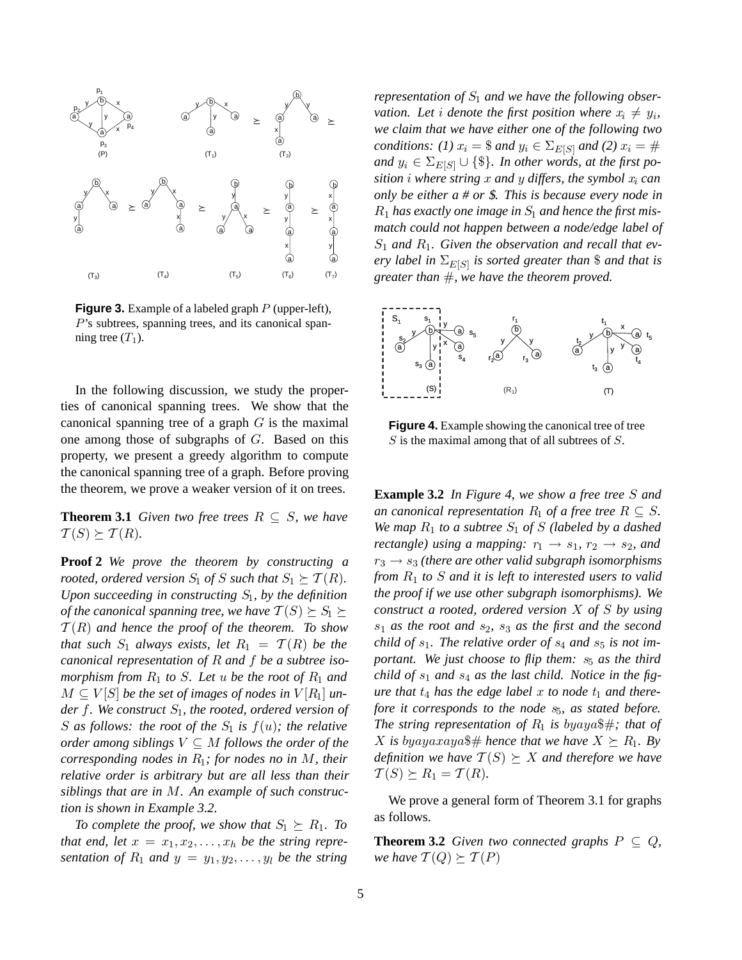

**Figure 3.** Example of a labeled graph P (upper-left), P's subtrees, spanning trees, and its canonical spanning tree  $(T_1)$ .

In the following discussion, we study the properties of canonical spanning trees. We show that the canonical spanning tree of a graph  $G$  is the maximal one among those of subgraphs of G. Based on this property, we present a greedy algorithm to compute the canonical spanning tree of a graph. Before proving the theorem, we prove a weaker version of it on trees.

**Theorem 3.1** *Given two free trees*  $R \subseteq S$ *, we have*  $\mathcal{T}(S) \succeq \mathcal{T}(R)$ .

**Proof 2** *We prove the theorem by constructing a rooted, ordered version*  $S_1$  *of* S *such that*  $S_1 \succeq T(R)$ *. Upon succeeding in constructing*  $S_1$ *, by the definition of the canonical spanning tree, we have*  $\mathcal{T}(S) \succeq S_1 \succeq$  $T(R)$  and hence the proof of the theorem. To show *that such*  $S_1$  *always exists, let*  $R_1 = \mathcal{T}(R)$  *be the canonical representation of* R *and* f *be a subtree isomorphism from*  $R_1$  *to*  $S$ *. Let*  $u$  *be the root of*  $R_1$  *and*  $M \subseteq V[S]$  *be the set of images of nodes in*  $V[R_1]$  *under* f. We construct  $S_1$ *, the rooted, ordered version of* S as follows: the root of the  $S_1$  is  $f(u)$ ; the relative *order among siblings*  $V \subseteq M$  *follows the order of the corresponding nodes in* R1*; for nodes no in* M*, their relative order is arbitrary but are all less than their siblings that are in* M*. An example of such construction is shown in Example 3.2.*

*To complete the proof, we show that*  $S_1 \succeq R_1$ *. To that end, let*  $x = x_1, x_2, \ldots, x_h$  *be the string representation of*  $R_1$  *and*  $y = y_1, y_2, \ldots, y_l$  *be the string*  *representation of*  $S_1$  *and we have the following observation. Let i denote the first position where*  $x_i \neq y_i$ , *we claim that we have either one of the following two conditions:* (1)  $x_i =$  \$ *and*  $y_i \in \Sigma_{E[S]}$  *and* (2)  $x_i =$  # and  $y_i \in \Sigma_{E[S]} \cup \{\$\}.$  In other words, at the first po*sition i* where string  $x$  *and*  $y$  *differs, the symbol*  $x_i$  *can only be either a # or* \$*. This is because every node in*  $R_1$  has exactly one image in  $S_1$  and hence the first mis*match could not happen between a node/edge label of* S<sup>1</sup> *and* R1*. Given the observation and recall that every label in*  $\Sigma_{E[S]}$  *is sorted greater than* \$ *and that is greater than* #*, we have the theorem proved.*



**Figure 4.** Example showing the canonical tree of tree  $S$  is the maximal among that of all subtrees of  $S$ .

**Example 3.2** *In Figure 4, we show a free tree* S *and an canonical representation*  $R_1$  *of a free tree*  $R \subseteq S$ *. We map*  $R_1$  *to a subtree*  $S_1$  *of* S *(labeled by a dashed rectangle)* using a mapping:  $r_1 \rightarrow s_1$ ,  $r_2 \rightarrow s_2$ , and  $r_3 \rightarrow s_3$  *(there are other valid subgraph isomorphisms from* R<sup>1</sup> *to* S *and it is left to interested users to valid the proof if we use other subgraph isomorphisms). We construct a rooted, ordered version* X *of* S *by using* s<sup>1</sup> *as the root and* s2*,* s<sup>3</sup> *as the first and the second child of*  $s_1$ *. The relative order of*  $s_4$  *and*  $s_5$  *is not important.* We just choose to flip them:  $s<sub>5</sub>$  as the third *child of*  $s_1$  *and*  $s_4$  *as the last child. Notice in the fig* $ure$  *that*  $t_4$  *has the edge label* x *to node*  $t_1$  *and therefore it corresponds to the node*  $s<sub>5</sub>$ *, as stated before. The string representation of*  $R_1$  *is byaya*\#*; that of X* is byayaxaya\$# hence that we have  $X \succeq R_1$ . By *definition we have*  $T(S) \succeq X$  *and therefore we have*  $\mathcal{T}(S) \succeq R_1 = \mathcal{T}(R)$ .

We prove a general form of Theorem 3.1 for graphs as follows.

**Theorem 3.2** *Given two connected graphs*  $P \subseteq Q$ *, we have*  $T(Q) \succeq T(P)$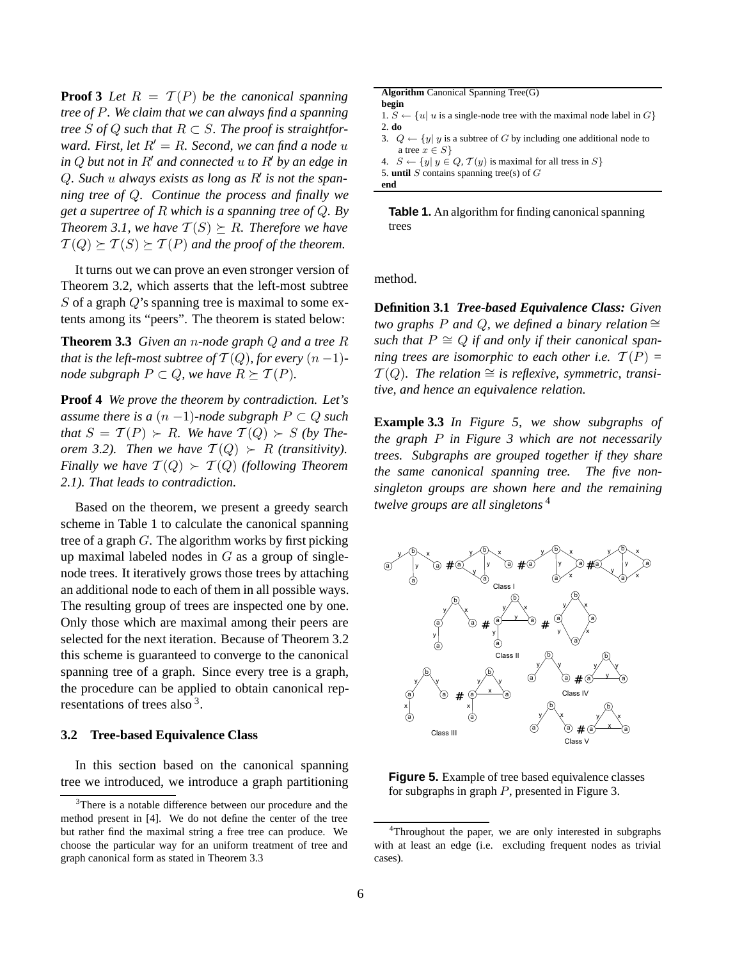**Proof 3** Let  $R = T(P)$  be the canonical spanning *tree of* P*. We claim that we can always find a spanning tree*  $S$  *of*  $Q$  *such that*  $R \subset S$ *. The proof is straightforward. First, let*  $R' = R$ *. Second, we can find a node* u  $\int$ *in*  $Q$  *but not in*  $R'$  *and connected*  $u$  *to*  $R'$  *by an edge in* Q*. Such* u *always exists as long as* R *is not the spanning tree of* Q*. Continue the process and finally we get a supertree of* R *which is a spanning tree of* Q*. By Theorem 3.1, we have*  $T(S) \succeq R$ *. Therefore we have*  $T(Q) \succeq T(S) \succeq T(P)$  *and the proof of the theorem.* 

It turns out we can prove an even stronger version of Theorem 3.2, which asserts that the left-most subtree S of a graph  $Q$ 's spanning tree is maximal to some extents among its "peers". The theorem is stated below:

**Theorem 3.3** *Given an* n*-node graph* Q *and a tree* R *that is the left-most subtree of*  $T(Q)$ *, for every*  $(n-1)$ *node subgraph*  $P \subset Q$ *, we have*  $R \succeq T(P)$ *.* 

**Proof 4** *We prove the theorem by contradiction. Let's assume there is a*  $(n-1)$ *-node subgraph*  $P \subset Q$  *such that*  $S = T(P) \succ R$ *. We have*  $T(Q) \succ S$  *(by Theorem 3.2). Then we have*  $T(Q) \succ R$  *(transitivity). Finally we have*  $T(Q) \succ T(Q)$  (following Theorem *2.1). That leads to contradiction.*

Based on the theorem, we present a greedy search scheme in Table 1 to calculate the canonical spanning tree of a graph  $G$ . The algorithm works by first picking up maximal labeled nodes in  $G$  as a group of singlenode trees. It iteratively grows those trees by attaching an additional node to each of them in all possible ways. The resulting group of trees are inspected one by one. Only those which are maximal among their peers are selected for the next iteration. Because of Theorem 3.2 this scheme is guaranteed to converge to the canonical spanning tree of a graph. Since every tree is a graph, the procedure can be applied to obtain canonical representations of trees also <sup>3</sup>.

#### **3.2 Tree-based Equivalence Class**

In this section based on the canonical spanning tree we introduced, we introduce a graph partitioning

| <b>Algorithm</b> Canonical Spanning $Tree(G)$                                           |
|-----------------------------------------------------------------------------------------|
| begin                                                                                   |
| 1. $S \leftarrow \{u \mid u$ is a single-node tree with the maximal node label in $G\}$ |
| $2. d\boldsymbol{\alpha}$                                                               |
| 3. $Q \leftarrow \{y   y$ is a subtree of G by including one additional node to         |
| a tree $x \in S$                                                                        |
| 4. $S \leftarrow \{y   y \in Q, T(y) \text{ is maximal for all trees in } S\}$          |
| 5. until S contains spanning tree(s) of $G$                                             |
| end                                                                                     |
|                                                                                         |

**Table 1.** An algorithm for finding canonical spanning trees

method.

**Definition 3.1** *Tree-based Equivalence Class: Given two graphs* P *and* Q, we defined a binary relation  $\cong$ *such that*  $P \cong Q$  *if and only if their canonical spanning trees are isomorphic to each other i.e.*  $\mathcal{T}(P)$  =  $T(Q)$ . The relation  $\cong$  *is reflexive, symmetric, transitive, and hence an equivalence relation.*

**Example 3.3** *In Figure 5, we show subgraphs of the graph* P *in Figure 3 which are not necessarily trees. Subgraphs are grouped together if they share the same canonical spanning tree. The five nonsingleton groups are shown here and the remaining twelve groups are all singletons* <sup>4</sup>



**Figure 5.** Example of tree based equivalence classes for subgraphs in graph P, presented in Figure 3.

<sup>&</sup>lt;sup>3</sup>There is a notable difference between our procedure and the method present in [4]. We do not define the center of the tree but rather find the maximal string a free tree can produce. We choose the particular way for an uniform treatment of tree and graph canonical form as stated in Theorem 3.3

<sup>&</sup>lt;sup>4</sup>Throughout the paper, we are only interested in subgraphs with at least an edge (i.e. excluding frequent nodes as trivial cases).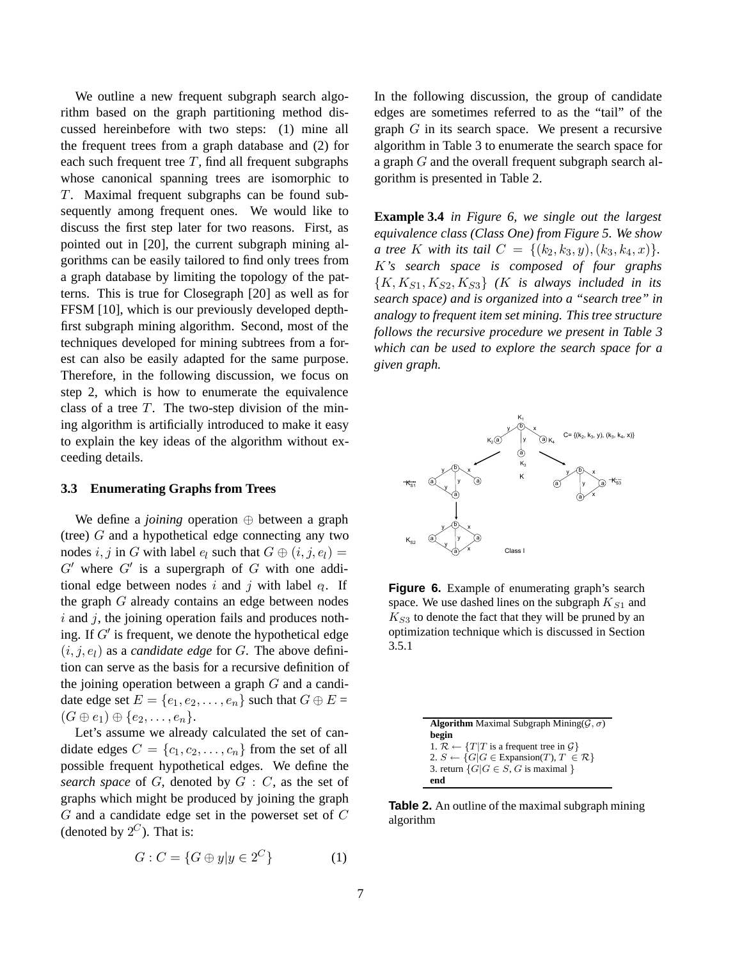We outline a new frequent subgraph search algorithm based on the graph partitioning method discussed hereinbefore with two steps: (1) mine all the frequent trees from a graph database and (2) for each such frequent tree  $T$ , find all frequent subgraphs whose canonical spanning trees are isomorphic to T. Maximal frequent subgraphs can be found subsequently among frequent ones. We would like to discuss the first step later for two reasons. First, as pointed out in [20], the current subgraph mining algorithms can be easily tailored to find only trees from a graph database by limiting the topology of the patterns. This is true for Closegraph [20] as well as for FFSM [10], which is our previously developed depthfirst subgraph mining algorithm. Second, most of the techniques developed for mining subtrees from a forest can also be easily adapted for the same purpose. Therefore, in the following discussion, we focus on step 2, which is how to enumerate the equivalence class of a tree  $T$ . The two-step division of the mining algorithm is artificially introduced to make it easy to explain the key ideas of the algorithm without exceeding details.

#### **3.3 Enumerating Graphs from Trees**

We define a *joining* operation ⊕ between a graph (tree) G and a hypothetical edge connecting any two nodes i, j in G with label  $e_l$  such that  $G \oplus (i, j, e_l) =$  $G'$  where  $G'$  is a supergraph of G with one additional edge between nodes i and j with label  $q$ . If the graph G already contains an edge between nodes  $i$  and  $j$ , the joining operation fails and produces nothing. If  $G'$  is frequent, we denote the hypothetical edge  $(i, j, e_l)$  as a *candidate edge* for G. The above definition can serve as the basis for a recursive definition of the joining operation between a graph  $G$  and a candidate edge set  $E = \{e_1, e_2, \dots, e_n\}$  such that  $G \oplus E =$  $(G \oplus e_1) \oplus \{e_2,\ldots,e_n\}.$ 

Let's assume we already calculated the set of candidate edges  $C = \{c_1, c_2, \ldots, c_n\}$  from the set of all possible frequent hypothetical edges. We define the *search space* of G, denoted by G : C, as the set of graphs which might be produced by joining the graph G and a candidate edge set in the powerset set of C (denoted by  $2^C$ ). That is:

$$
G: C = \{G \oplus y | y \in 2^C\} \tag{1}
$$

In the following discussion, the group of candidate edges are sometimes referred to as the "tail" of the graph  $G$  in its search space. We present a recursive algorithm in Table 3 to enumerate the search space for a graph G and the overall frequent subgraph search algorithm is presented in Table 2.

**Example 3.4** *in Figure 6, we single out the largest equivalence class (Class One) from Figure 5. We show a tree* K *with its tail*  $C = \{(k_2, k_3, y), (k_3, k_4, x)\}.$ K*'s search space is composed of four graphs*  ${K, K_{S1}, K_{S2}, K_{S3}}$  (*K is always included in its search space) and is organized into a "search tree" in analogy to frequent item set mining. This tree structure follows the recursive procedure we present in Table 3 which can be used to explore the search space for a given graph.*



**Figure 6.** Example of enumerating graph's search space. We use dashed lines on the subgraph K*S*<sup>1</sup> and K*S*<sup>3</sup> to denote the fact that they will be pruned by an optimization technique which is discussed in Section 3.5.1

| <b>Algorithm</b> Maximal Subgraph Mining( $G, \sigma$ )                  |
|--------------------------------------------------------------------------|
| begin                                                                    |
| 1. $\mathcal{R} \leftarrow \{T T$ is a frequent tree in $\mathcal{G}\}\$ |
| 2. $S \leftarrow \{G   G \in \text{Expansion}(T), T \in \mathcal{R}\}\$  |
| 3. return $\{G G \in S, G$ is maximal }                                  |
| end                                                                      |

**Table 2.** An outline of the maximal subgraph mining algorithm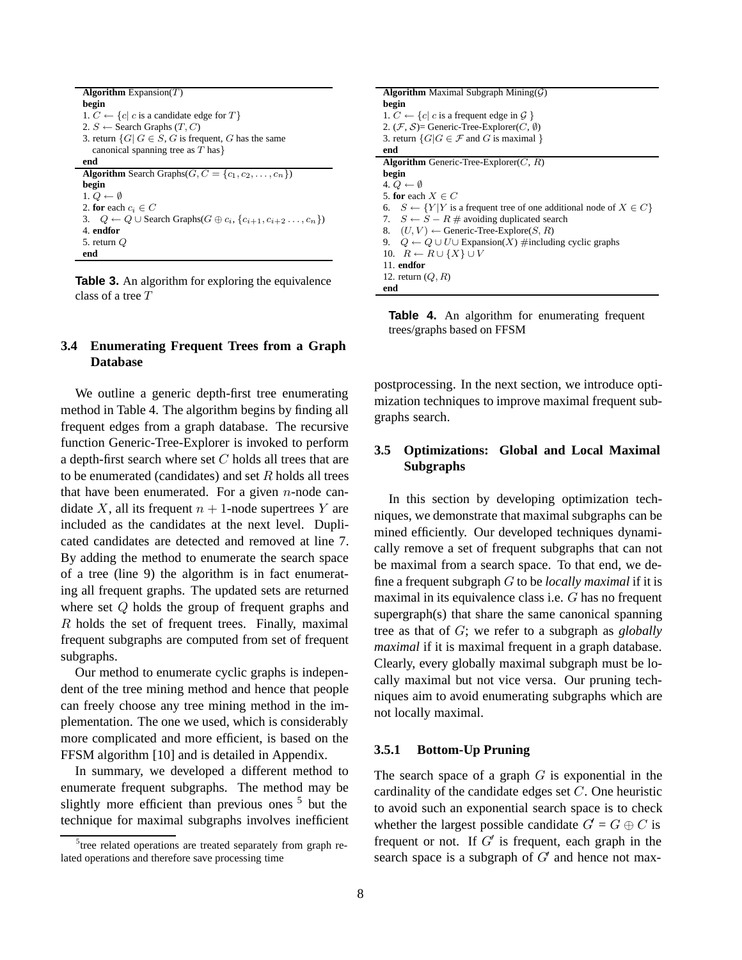```
Algorithm Expansion(T)
begin
1. C \leftarrow \{c | c \text{ is a candidate edge for } T\}2. S \leftarrow Search Graphs (T, C)3. return \{G \mid G \in S, G \text{ is frequent}, G \text{ has the same} \}canonical spanning tree as T has}
end
Algorithm Search Graphs(G, C = \{c_1, c_2, \ldots, c_n\})begin
1. Q \leftarrow \emptyset2. for each c_i \in C3. Q \leftarrow Q \cup Search Graphs(G \oplus c_i, \{c_{i+1}, c_{i+2}, \ldots, c_n\})
4. endfor
5. return Q
end
```
**Table 3.** An algorithm for exploring the equivalence class of a tree T

## **3.4 Enumerating Frequent Trees from a Graph Database**

We outline a generic depth-first tree enumerating method in Table 4. The algorithm begins by finding all frequent edges from a graph database. The recursive function Generic-Tree-Explorer is invoked to perform a depth-first search where set C holds all trees that are to be enumerated (candidates) and set  $R$  holds all trees that have been enumerated. For a given  $n$ -node candidate X, all its frequent  $n + 1$ -node supertrees Y are included as the candidates at the next level. Duplicated candidates are detected and removed at line 7. By adding the method to enumerate the search space of a tree (line 9) the algorithm is in fact enumerating all frequent graphs. The updated sets are returned where set Q holds the group of frequent graphs and R holds the set of frequent trees. Finally, maximal frequent subgraphs are computed from set of frequent subgraphs.

Our method to enumerate cyclic graphs is independent of the tree mining method and hence that people can freely choose any tree mining method in the implementation. The one we used, which is considerably more complicated and more efficient, is based on the FFSM algorithm [10] and is detailed in Appendix.

In summary, we developed a different method to enumerate frequent subgraphs. The method may be slightly more efficient than previous ones  $5$  but the technique for maximal subgraphs involves inefficient

| <b>Algorithm</b> Maximal Subgraph Mining( $\mathcal{G}$ )                               |
|-----------------------------------------------------------------------------------------|
| begin                                                                                   |
| 1. $C \leftarrow \{c   c$ is a frequent edge in $\mathcal{G} \}$                        |
| 2. $(\mathcal{F}, \mathcal{S})$ = Generic-Tree-Explorer(C, $\emptyset$ )                |
| 3. return $\{G G \in \mathcal{F}$ and G is maximal }                                    |
| end                                                                                     |
| <b>Algorithm</b> Generic-Tree-Explorer( $C, R$ )                                        |
| begin                                                                                   |
| 4. $Q \leftarrow \emptyset$                                                             |
| 5. for each $X \in C$                                                                   |
| 6. $S \leftarrow \{Y Y \text{ is a frequent tree of one additional node of } X \in C\}$ |
| 7. $S \leftarrow S - R \#$ avoiding duplicated search                                   |
| 8. $(U, V) \leftarrow$ Generic-Tree-Explore(S, R)                                       |
| 9. $Q \leftarrow Q \cup U \cup$ Expansion(X) #including cyclic graphs                   |
| 10. $R \leftarrow R \cup \{X\} \cup V$                                                  |
| 11. endfor                                                                              |
| 12. return $(Q, R)$                                                                     |
| end                                                                                     |

**Table 4.** An algorithm for enumerating frequent trees/graphs based on FFSM

postprocessing. In the next section, we introduce optimization techniques to improve maximal frequent subgraphs search.

## **3.5 Optimizations: Global and Local Maximal Subgraphs**

In this section by developing optimization techniques, we demonstrate that maximal subgraphs can be mined efficiently. Our developed techniques dynamically remove a set of frequent subgraphs that can not be maximal from a search space. To that end, we define a frequent subgraph G to be *locally maximal* if it is maximal in its equivalence class i.e. G has no frequent supergraph(s) that share the same canonical spanning tree as that of G; we refer to a subgraph as *globally maximal* if it is maximal frequent in a graph database. Clearly, every globally maximal subgraph must be locally maximal but not vice versa. Our pruning techniques aim to avoid enumerating subgraphs which are not locally maximal.

### **3.5.1 Bottom-Up Pruning**

The search space of a graph  $G$  is exponential in the cardinality of the candidate edges set C. One heuristic to avoid such an exponential search space is to check whether the largest possible candidate  $G = G \oplus C$  is frequent or not. If  $G'$  is frequent, each graph in the search space is a subgraph of  $G'$  and hence not max-

<sup>&</sup>lt;sup>5</sup>tree related operations are treated separately from graph related operations and therefore save processing time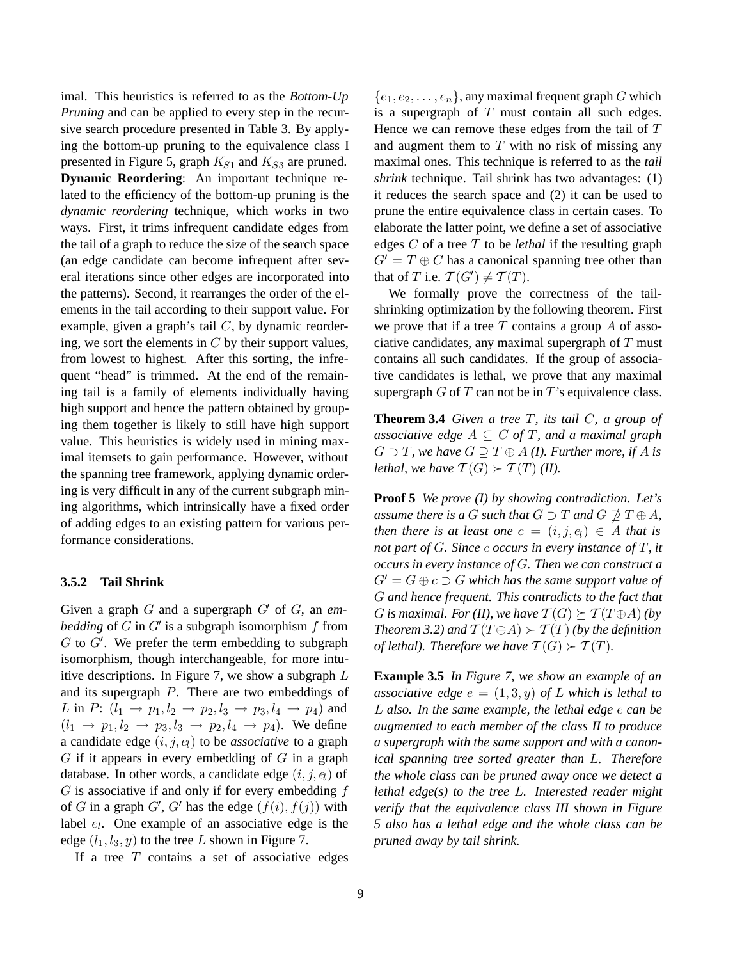imal. This heuristics is referred to as the *Bottom-Up Pruning* and can be applied to every step in the recursive search procedure presented in Table 3. By applying the bottom-up pruning to the equivalence class I presented in Figure 5, graph  $K_{S1}$  and  $K_{S3}$  are pruned. **Dynamic Reordering**: An important technique related to the efficiency of the bottom-up pruning is the *dynamic reordering* technique, which works in two ways. First, it trims infrequent candidate edges from the tail of a graph to reduce the size of the search space (an edge candidate can become infrequent after several iterations since other edges are incorporated into the patterns). Second, it rearranges the order of the elements in the tail according to their support value. For example, given a graph's tail  $C$ , by dynamic reordering, we sort the elements in  $C$  by their support values, from lowest to highest. After this sorting, the infrequent "head" is trimmed. At the end of the remaining tail is a family of elements individually having high support and hence the pattern obtained by grouping them together is likely to still have high support value. This heuristics is widely used in mining maximal itemsets to gain performance. However, without the spanning tree framework, applying dynamic ordering is very difficult in any of the current subgraph mining algorithms, which intrinsically have a fixed order of adding edges to an existing pattern for various performance considerations.

## **3.5.2 Tail Shrink**

Given a graph G and a supergraph G of G, an *embedding* of G in  $G'$  is a subgraph isomorphism f from  $G$  to  $G'$ . We prefer the term embedding to subgraph isomorphism, though interchangeable, for more intuitive descriptions. In Figure 7, we show a subgraph L and its supergraph P. There are two embeddings of L in P:  $(l_1 \to p_1, l_2 \to p_2, l_3 \to p_3, l_4 \to p_4)$  and  $(l_1 \rightarrow p_1, l_2 \rightarrow p_3, l_3 \rightarrow p_2, l_4 \rightarrow p_4)$ . We define a candidate edge  $(i, j, e_l)$  to be *associative* to a graph  $G$  if it appears in every embedding of  $G$  in a graph database. In other words, a candidate edge  $(i, j, q)$  of  $G$  is associative if and only if for every embedding  $f$ of G in a graph  $G'$ ,  $G'$  has the edge  $(f(i), f(j))$  with label  $e_l$ . One example of an associative edge is the edge  $(l_1, l_3, y)$  to the tree L shown in Figure 7.

If a tree  $T$  contains a set of associative edges

 ${e_1, e_2, \ldots, e_n}$ , any maximal frequent graph G which is a supergraph of  $T$  must contain all such edges. Hence we can remove these edges from the tail of  $T$ and augment them to  $T$  with no risk of missing any maximal ones. This technique is referred to as the *tail shrink* technique. Tail shrink has two advantages: (1) it reduces the search space and (2) it can be used to prune the entire equivalence class in certain cases. To elaborate the latter point, we define a set of associative edges C of a tree T to be *lethal* if the resulting graph  $G' = T \oplus C$  has a canonical spanning tree other than that of T i.e.  $\mathcal{T}(G') \neq \mathcal{T}(T)$ .

We formally prove the correctness of the tailshrinking optimization by the following theorem. First we prove that if a tree  $T$  contains a group  $A$  of associative candidates, any maximal supergraph of  $T$  must contains all such candidates. If the group of associative candidates is lethal, we prove that any maximal supergraph  $G$  of  $T$  can not be in  $T$ 's equivalence class.

**Theorem 3.4** *Given a tree* T*, its tail* C*, a group of associative edge*  $A \subseteq C$  *of*  $T$ *, and a maximal graph*  $G \supset T$ , we have  $G \supseteq T \oplus A$  *(I). Further more, if A is lethal, we have*  $\mathcal{T}(G) \succ \mathcal{T}(T)$  *(II).* 

**Proof 5** *We prove (I) by showing contradiction. Let's* assume there is a  $G$  such that  $G\supseteq T$  and  $G\nsupseteq T\oplus A$ , *then there is at least one*  $c = (i, j, e_l) \in A$  *that is not part of* G*. Since* c *occurs in every instance of* T*, it occurs in every instance of* G*. Then we can construct a*  $G' = G \oplus c \supset G$  which has the same support value of G *and hence frequent. This contradicts to the fact that* G is maximal. For (II), we have  $T(G) \succeq T(T \oplus A)$  (by *Theorem 3.2)* and  $\mathcal{T}(T \oplus A) \succ \mathcal{T}(T)$  *(by the definition of lethal). Therefore we have*  $T(G) \succ T(T)$ *.* 

**Example 3.5** *In Figure 7, we show an example of an associative edge*  $e = (1, 3, y)$  *of* L *which is lethal to* L *also. In the same example, the lethal edge* e *can be augmented to each member of the class II to produce a supergraph with the same support and with a canonical spanning tree sorted greater than* L*. Therefore the whole class can be pruned away once we detect a lethal edge(s) to the tree* L*. Interested reader might verify that the equivalence class III shown in Figure 5 also has a lethal edge and the whole class can be pruned away by tail shrink.*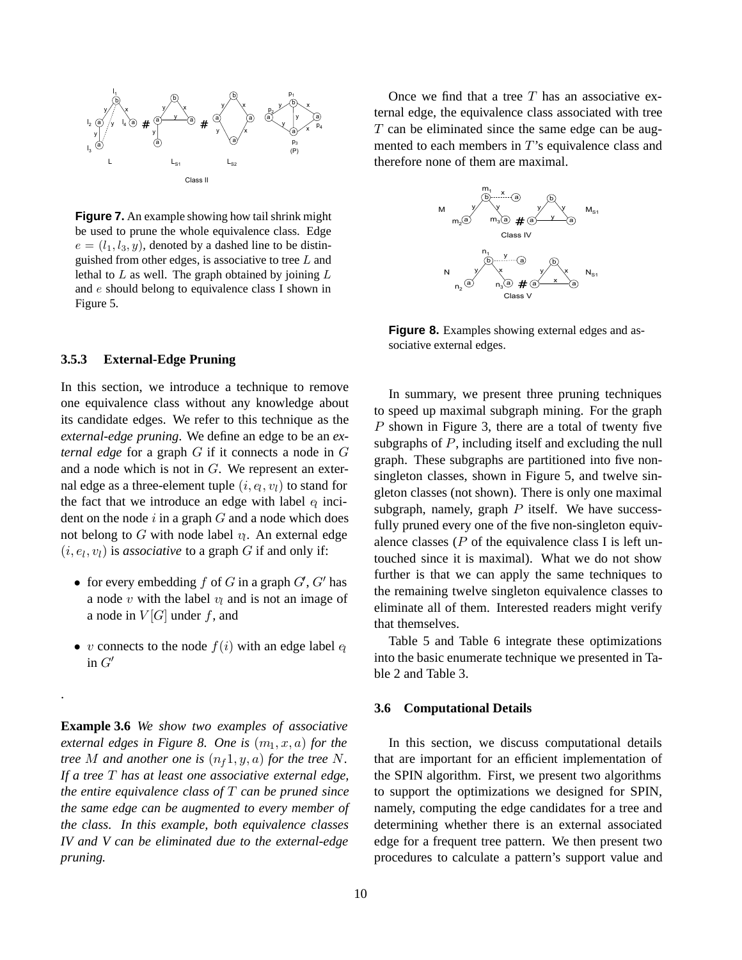

**Figure 7.** An example showing how tail shrink might be used to prune the whole equivalence class. Edge  $e = (l_1, l_3, y)$ , denoted by a dashed line to be distinguished from other edges, is associative to tree  $L$  and lethal to  $L$  as well. The graph obtained by joining  $L$ and e should belong to equivalence class I shown in Figure 5.

### **3.5.3 External-Edge Pruning**

.

In this section, we introduce a technique to remove one equivalence class without any knowledge about its candidate edges. We refer to this technique as the *external-edge pruning*. We define an edge to be an *external edge* for a graph G if it connects a node in G and a node which is not in G. We represent an external edge as a three-element tuple  $(i, q, v_l)$  to stand for the fact that we introduce an edge with label  $q$  incident on the node  $i$  in a graph  $G$  and a node which does not belong to G with node label  $v_l$ . An external edge  $(i, e_l, v_l)$  is *associative* to a graph G if and only if:

- for every embedding  $f$  of  $G$  in a graph  $G$ ,  $G'$  has a node  $v$  with the label  $v_l$  and is not an image of a node in  $V[G]$  under f, and
- v connects to the node  $f(i)$  with an edge label  $q$ in  $G'$

**Example 3.6** *We show two examples of associative external edges in Figure 8. One is*  $(m_1, x, a)$  *for the tree* M *and another one is*  $(n_f 1, y, a)$  *for the tree* N. *If a tree* T *has at least one associative external edge, the entire equivalence class of* T *can be pruned since the same edge can be augmented to every member of the class. In this example, both equivalence classes IV and V can be eliminated due to the external-edge pruning.*

Once we find that a tree  $T$  has an associative external edge, the equivalence class associated with tree  $T$  can be eliminated since the same edge can be augmented to each members in  $T$ 's equivalence class and therefore none of them are maximal.



**Figure 8.** Examples showing external edges and associative external edges.

In summary, we present three pruning techniques to speed up maximal subgraph mining. For the graph P shown in Figure 3, there are a total of twenty five subgraphs of P, including itself and excluding the null graph. These subgraphs are partitioned into five nonsingleton classes, shown in Figure 5, and twelve singleton classes (not shown). There is only one maximal subgraph, namely, graph  $P$  itself. We have successfully pruned every one of the five non-singleton equivalence classes ( $P$  of the equivalence class I is left untouched since it is maximal). What we do not show further is that we can apply the same techniques to the remaining twelve singleton equivalence classes to eliminate all of them. Interested readers might verify that themselves.

Table 5 and Table 6 integrate these optimizations into the basic enumerate technique we presented in Table 2 and Table 3.

#### **3.6 Computational Details**

In this section, we discuss computational details that are important for an efficient implementation of the SPIN algorithm. First, we present two algorithms to support the optimizations we designed for SPIN, namely, computing the edge candidates for a tree and determining whether there is an external associated edge for a frequent tree pattern. We then present two procedures to calculate a pattern's support value and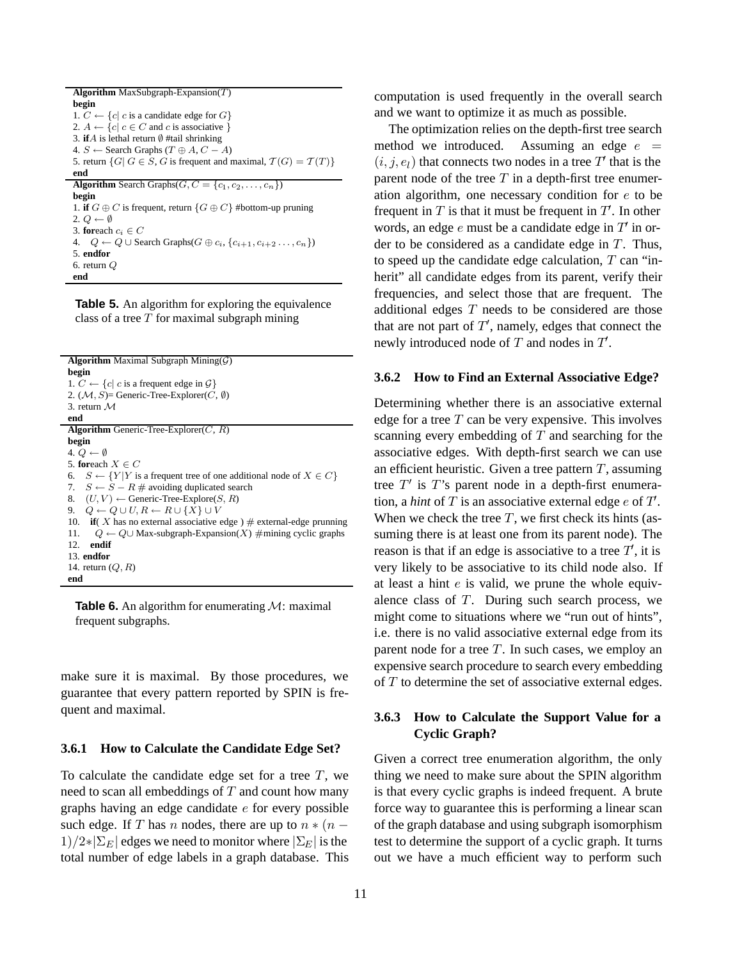**Algorithm** MaxSubgraph-Expansion(T) **begin** 1.  $C \leftarrow \{c | c \text{ is a candidate edge for } G\}$ 2.  $A \leftarrow \{c | c \in C \text{ and } c \text{ is associative }\}$ 3. **if**A is lethal return ∅ #tail shrinking 4. *S* ← Search Graphs ( $T \oplus A, C - A$ ) 5. return  $\{G | G \in S, G \text{ is frequent and maximal}, \mathcal{T}(G) = \mathcal{T}(T)\}$ **end Algorithm** Search Graphs $(G, C = \{c_1, c_2, \ldots, c_n\})$ **begin** 1. **if**  $G \oplus C$  is frequent, return  $\{G \oplus C\}$  #bottom-up pruning 2.  $Q \leftarrow \emptyset$ 3. **for**each  $c_i \in C$ 4.  $Q \leftarrow Q \cup$  Search Graphs( $G \oplus c_i$ ,  $\{c_{i+1}, c_{i+2}, \ldots, c_n\}$ ) 5. **endfor** 6. return Q **end**

**Table 5.** An algorithm for exploring the equivalence class of a tree  $T$  for maximal subgraph mining

| <b>Algorithm</b> Maximal Subgraph Mining( $\mathcal{G}$ )                                   |
|---------------------------------------------------------------------------------------------|
| begin                                                                                       |
| 1. $C \leftarrow \{c   c \text{ is a frequent edge in } \mathcal{G}\}\$                     |
| 2. $(\mathcal{M}, S)$ = Generic-Tree-Explorer $(C, \emptyset)$                              |
| 3. return $\mathcal M$                                                                      |
| end                                                                                         |
| <b>Algorithm</b> Generic-Tree-Explorer( $C, R$ )                                            |
| begin                                                                                       |
| 4. $Q \leftarrow \emptyset$                                                                 |
| 5. foreach $X \in C$                                                                        |
| 6. $S \leftarrow \{Y Y \text{ is a frequent tree of one additional node of } X \in C\}$     |
| 7. $S \leftarrow S - R \#$ avoiding duplicated search                                       |
| 8. $(U, V) \leftarrow$ Generic-Tree-Explore(S, R)                                           |
| 9. $Q \leftarrow Q \cup U, R \leftarrow R \cup \{X\} \cup V$                                |
| 10. <b>if</b> ( $X$ has no external associative edge) $\#$ external-edge prunning           |
| 11. $Q \leftarrow Q \cup \text{Max-subgraph-Expansion}(X) \neq \text{mining cyclic graphs}$ |
| 12.<br>endif                                                                                |
| 13. endfor                                                                                  |
| 14. return $(Q, R)$                                                                         |
| end                                                                                         |

**Table 6.** An algorithm for enumerating  $M$ : maximal frequent subgraphs.

make sure it is maximal. By those procedures, we guarantee that every pattern reported by SPIN is frequent and maximal.

#### **3.6.1 How to Calculate the Candidate Edge Set?**

To calculate the candidate edge set for a tree  $T$ , we need to scan all embeddings of  $T$  and count how many graphs having an edge candidate e for every possible such edge. If T has n nodes, there are up to  $n * (n 1)/2*|\Sigma_E|$  edges we need to monitor where  $|\Sigma_E|$  is the total number of edge labels in a graph database. This

computation is used frequently in the overall search and we want to optimize it as much as possible.

The optimization relies on the depth-first tree search method we introduced. Assuming an edge  $e =$  $(i, j, e_l)$  that connects two nodes in a tree T' that is the parent node of the tree  $T$  in a depth-first tree enumeration algorithm, one necessary condition for  $e$  to be frequent in  $T$  is that it must be frequent in  $T$ . In other words, an edge  $e$  must be a candidate edge in  $T$  in order to be considered as a candidate edge in  $T$ . Thus, to speed up the candidate edge calculation,  $T$  can "inherit" all candidate edges from its parent, verify their frequencies, and select those that are frequent. The additional edges T needs to be considered are those that are not part of  $T'$ , namely, edges that connect the newly introduced node of  $T$  and nodes in  $T$ .

#### **3.6.2 How to Find an External Associative Edge?**

Determining whether there is an associative external edge for a tree  $T$  can be very expensive. This involves scanning every embedding of T and searching for the associative edges. With depth-first search we can use an efficient heuristic. Given a tree pattern  $T$ , assuming tree  $T'$  is  $T$ 's parent node in a depth-first enumeration, a *hint* of  $T$  is an associative external edge  $e$  of  $T$ . When we check the tree  $T$ , we first check its hints (assuming there is at least one from its parent node). The reason is that if an edge is associative to a tree  $T$ , it is very likely to be associative to its child node also. If at least a hint  $e$  is valid, we prune the whole equivalence class of  $T$ . During such search process, we might come to situations where we "run out of hints", i.e. there is no valid associative external edge from its parent node for a tree  $T$ . In such cases, we employ an expensive search procedure to search every embedding of T to determine the set of associative external edges.

## **3.6.3 How to Calculate the Support Value for a Cyclic Graph?**

Given a correct tree enumeration algorithm, the only thing we need to make sure about the SPIN algorithm is that every cyclic graphs is indeed frequent. A brute force way to guarantee this is performing a linear scan of the graph database and using subgraph isomorphism test to determine the support of a cyclic graph. It turns out we have a much efficient way to perform such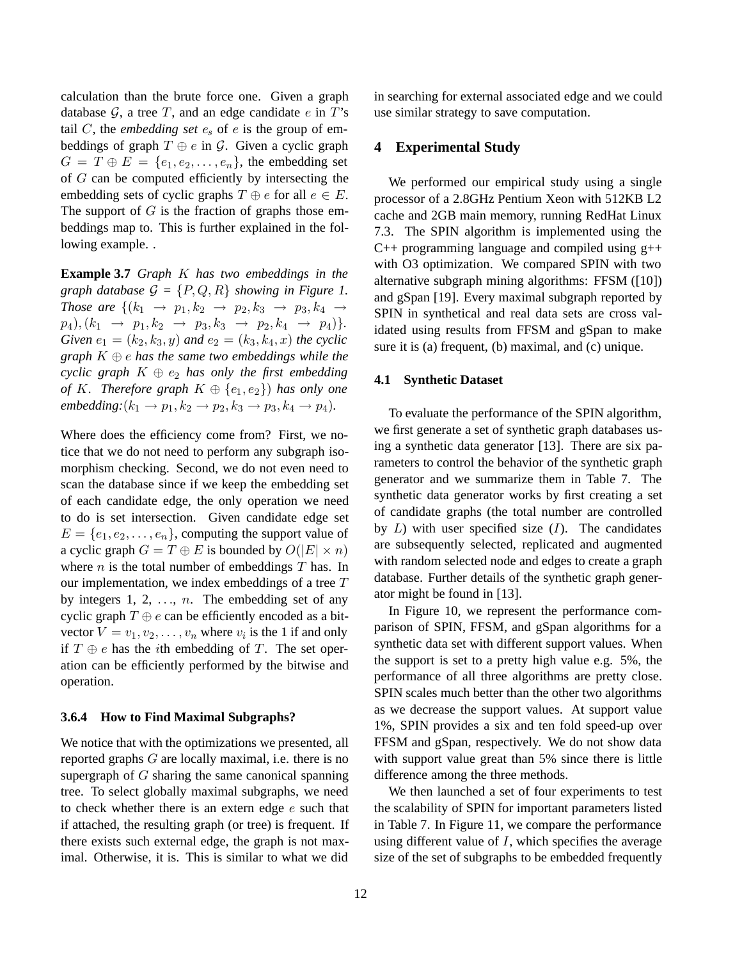calculation than the brute force one. Given a graph database  $G$ , a tree  $T$ , and an edge candidate  $e$  in  $T$ 's tail  $C$ , the *embedding set*  $e_s$  of  $e$  is the group of embeddings of graph  $T \oplus e$  in  $\mathcal{G}$ . Given a cyclic graph  $G = T \oplus E = \{e_1, e_2, \ldots, e_n\}$ , the embedding set of G can be computed efficiently by intersecting the embedding sets of cyclic graphs  $T \oplus e$  for all  $e \in E$ . The support of  $G$  is the fraction of graphs those embeddings map to. This is further explained in the following example. .

**Example 3.7** *Graph* K *has two embeddings in the graph database*  $G = \{P, Q, R\}$  *showing in Figure 1. Those are*  $\{(k_1 \rightarrow p_1, k_2 \rightarrow p_2, k_3 \rightarrow p_3, k_4 \rightarrow p_4\})$  $p_4$ ,  $(k_1 \rightarrow p_1, k_2 \rightarrow p_3, k_3 \rightarrow p_2, k_4 \rightarrow p_4)$ . *Given*  $e_1 = (k_2, k_3, y)$  *and*  $e_2 = (k_3, k_4, x)$  *the cyclic graph* K ⊕ e *has the same two embeddings while the cyclic graph*  $K \oplus e_2$  *has only the first embedding of* K. Therefore graph  $K \oplus \{e_1, e_2\}$  has only one *embedding*: $(k_1 \rightarrow p_1, k_2 \rightarrow p_2, k_3 \rightarrow p_3, k_4 \rightarrow p_4)$ .

Where does the efficiency come from? First, we notice that we do not need to perform any subgraph isomorphism checking. Second, we do not even need to scan the database since if we keep the embedding set of each candidate edge, the only operation we need to do is set intersection. Given candidate edge set  $E = \{e_1, e_2, \ldots, e_n\}$ , computing the support value of a cyclic graph  $G = T \oplus E$  is bounded by  $O(|E| \times n)$ where  $n$  is the total number of embeddings  $T$  has. In our implementation, we index embeddings of a tree T by integers 1, 2,  $\dots$ , n. The embedding set of any cyclic graph  $T \oplus e$  can be efficiently encoded as a bitvector  $V = v_1, v_2, \dots, v_n$  where  $v_i$  is the 1 if and only if  $T \oplus e$  has the *i*th embedding of T. The set operation can be efficiently performed by the bitwise and operation.

#### **3.6.4 How to Find Maximal Subgraphs?**

We notice that with the optimizations we presented, all reported graphs G are locally maximal, i.e. there is no supergraph of G sharing the same canonical spanning tree. To select globally maximal subgraphs, we need to check whether there is an extern edge e such that if attached, the resulting graph (or tree) is frequent. If there exists such external edge, the graph is not maximal. Otherwise, it is. This is similar to what we did

in searching for external associated edge and we could use similar strategy to save computation.

## **4 Experimental Study**

We performed our empirical study using a single processor of a 2.8GHz Pentium Xeon with 512KB L2 cache and 2GB main memory, running RedHat Linux 7.3. The SPIN algorithm is implemented using the  $C_{++}$  programming language and compiled using  $g_{++}$ with O3 optimization. We compared SPIN with two alternative subgraph mining algorithms: FFSM ([10]) and gSpan [19]. Every maximal subgraph reported by SPIN in synthetical and real data sets are cross validated using results from FFSM and gSpan to make sure it is (a) frequent, (b) maximal, and (c) unique.

#### **4.1 Synthetic Dataset**

To evaluate the performance of the SPIN algorithm, we first generate a set of synthetic graph databases using a synthetic data generator [13]. There are six parameters to control the behavior of the synthetic graph generator and we summarize them in Table 7. The synthetic data generator works by first creating a set of candidate graphs (the total number are controlled by  $L$ ) with user specified size  $(I)$ . The candidates are subsequently selected, replicated and augmented with random selected node and edges to create a graph database. Further details of the synthetic graph generator might be found in [13].

In Figure 10, we represent the performance comparison of SPIN, FFSM, and gSpan algorithms for a synthetic data set with different support values. When the support is set to a pretty high value e.g. 5%, the performance of all three algorithms are pretty close. SPIN scales much better than the other two algorithms as we decrease the support values. At support value 1%, SPIN provides a six and ten fold speed-up over FFSM and gSpan, respectively. We do not show data with support value great than 5% since there is little difference among the three methods.

We then launched a set of four experiments to test the scalability of SPIN for important parameters listed in Table 7. In Figure 11, we compare the performance using different value of  $I$ , which specifies the average size of the set of subgraphs to be embedded frequently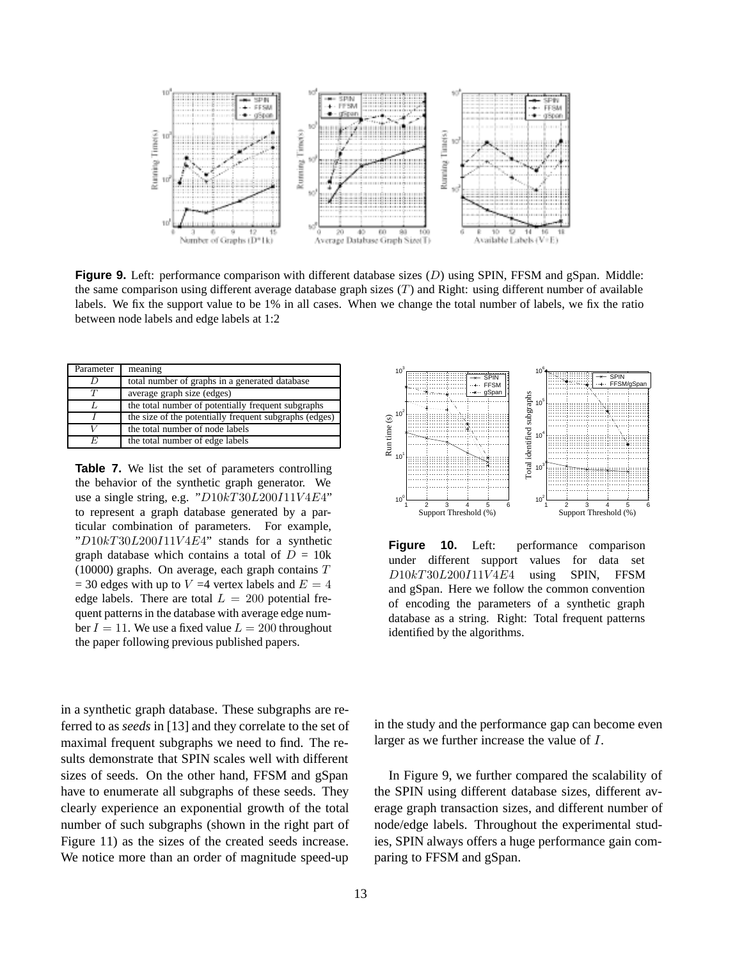

**Figure 9.** Left: performance comparison with different database sizes (D) using SPIN, FFSM and gSpan. Middle: the same comparison using different average database graph sizes  $(T)$  and Right: using different number of available labels. We fix the support value to be 1% in all cases. When we change the total number of labels, we fix the ratio between node labels and edge labels at 1:2

| Parameter | meaning                                                |
|-----------|--------------------------------------------------------|
|           | total number of graphs in a generated database         |
| $\tau$    | average graph size (edges)                             |
|           | the total number of potentially frequent subgraphs     |
|           | the size of the potentially frequent subgraphs (edges) |
|           | the total number of node labels                        |
| F.        | the total number of edge labels                        |

**Table 7.** We list the set of parameters controlling the behavior of the synthetic graph generator. We use a single string, e.g.  $"D10kT30L200I11V4E4"$ to represent a graph database generated by a particular combination of parameters. For example,  $"D10kT30L200I11V4E4"$  stands for a synthetic graph database which contains a total of  $D = 10k$  $(10000)$  graphs. On average, each graph contains T  $=$  30 edges with up to  $V = 4$  vertex labels and  $E = 4$ edge labels. There are total  $L = 200$  potential frequent patterns in the database with average edge number  $I = 11$ . We use a fixed value  $L = 200$  throughout the paper following previous published papers.

in a synthetic graph database. These subgraphs are referred to as *seeds* in [13] and they correlate to the set of maximal frequent subgraphs we need to find. The results demonstrate that SPIN scales well with different sizes of seeds. On the other hand, FFSM and gSpan have to enumerate all subgraphs of these seeds. They clearly experience an exponential growth of the total number of such subgraphs (shown in the right part of Figure 11) as the sizes of the created seeds increase. We notice more than an order of magnitude speed-up



Figure 10. Left: performance comparison under different support values for data set  $D10kT30L200I11V4E4$  using SPIN, FFSM and gSpan. Here we follow the common convention of encoding the parameters of a synthetic graph database as a string. Right: Total frequent patterns identified by the algorithms.

in the study and the performance gap can become even larger as we further increase the value of I.

In Figure 9, we further compared the scalability of the SPIN using different database sizes, different average graph transaction sizes, and different number of node/edge labels. Throughout the experimental studies, SPIN always offers a huge performance gain comparing to FFSM and gSpan.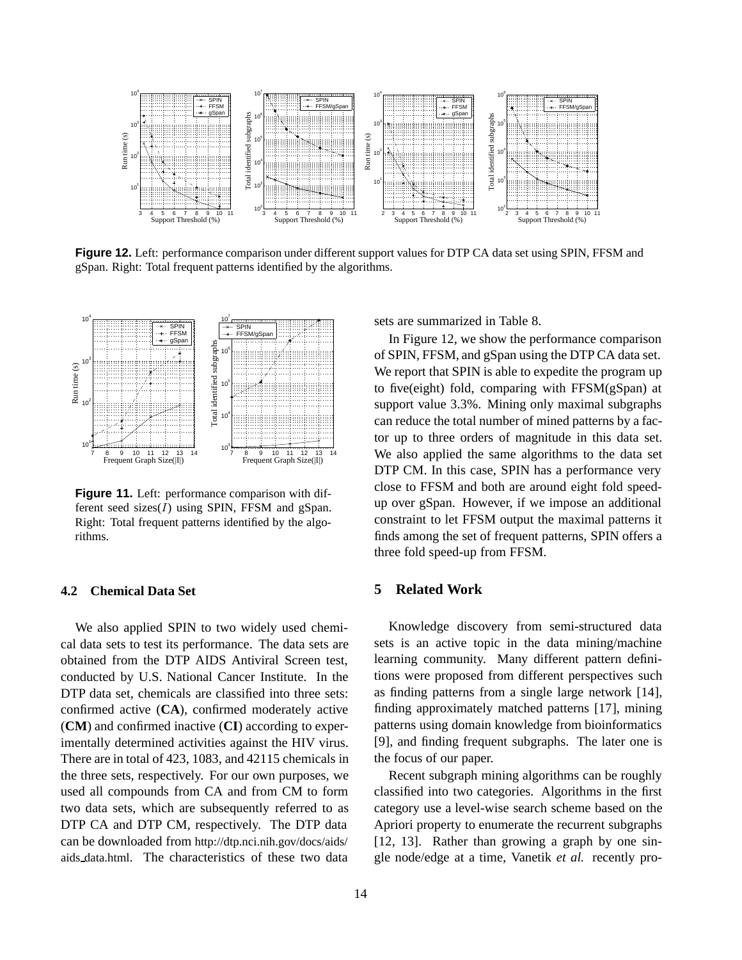

**Figure 12.** Left: performance comparison under different support values for DTP CA data set using SPIN, FFSM and gSpan. Right: Total frequent patterns identified by the algorithms.



**Figure 11.** Left: performance comparison with different seed sizes $(I)$  using SPIN, FFSM and gSpan. Right: Total frequent patterns identified by the algorithms.

## **4.2 Chemical Data Set**

We also applied SPIN to two widely used chemical data sets to test its performance. The data sets are obtained from the DTP AIDS Antiviral Screen test, conducted by U.S. National Cancer Institute. In the DTP data set, chemicals are classified into three sets: confirmed active (**CA**), confirmed moderately active (**CM**) and confirmed inactive (**CI**) according to experimentally determined activities against the HIV virus. There are in total of 423, 1083, and 42115 chemicals in the three sets, respectively. For our own purposes, we used all compounds from CA and from CM to form two data sets, which are subsequently referred to as DTP CA and DTP CM, respectively. The DTP data can be downloaded from http://dtp.nci.nih.gov/docs/aids/ aids data.html. The characteristics of these two data sets are summarized in Table 8.

In Figure 12, we show the performance comparison of SPIN, FFSM, and gSpan using the DTP CA data set. We report that SPIN is able to expedite the program up to five(eight) fold, comparing with FFSM(gSpan) at support value 3.3%. Mining only maximal subgraphs can reduce the total number of mined patterns by a factor up to three orders of magnitude in this data set. We also applied the same algorithms to the data set DTP CM. In this case, SPIN has a performance very close to FFSM and both are around eight fold speedup over gSpan. However, if we impose an additional constraint to let FFSM output the maximal patterns it finds among the set of frequent patterns, SPIN offers a three fold speed-up from FFSM.

### **5 Related Work**

Knowledge discovery from semi-structured data sets is an active topic in the data mining/machine learning community. Many different pattern definitions were proposed from different perspectives such as finding patterns from a single large network [14], finding approximately matched patterns [17], mining patterns using domain knowledge from bioinformatics [9], and finding frequent subgraphs. The later one is the focus of our paper.

Recent subgraph mining algorithms can be roughly classified into two categories. Algorithms in the first category use a level-wise search scheme based on the Apriori property to enumerate the recurrent subgraphs [12, 13]. Rather than growing a graph by one single node/edge at a time, Vanetik *et al.* recently pro-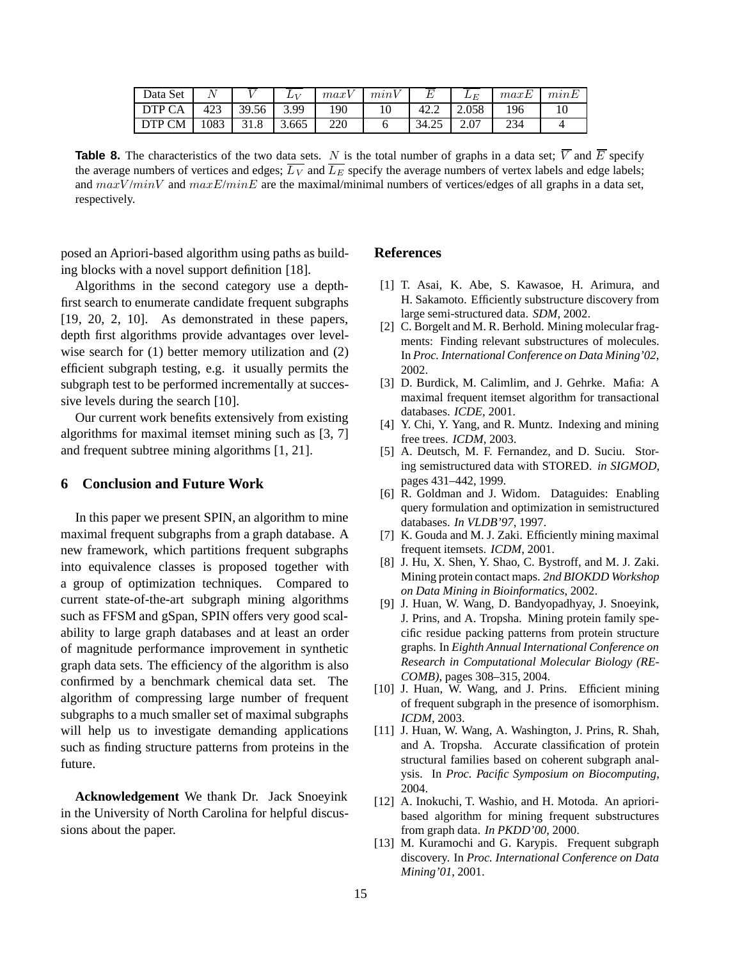| Data Set |      |       | . . <b>.</b> .<br>⊥∪ | max | minV |       | E     | maxE | $\tau$<br>munk |
|----------|------|-------|----------------------|-----|------|-------|-------|------|----------------|
| DTP CA   | 423  | 39.56 | 3.99                 | 190 | 10   | 42.2  | 2.058 | .96  |                |
| DTP CM   | .083 | 31.8  | 3.665                | 220 |      | 34.25 | 2.07  | 234  |                |

**Table 8.** The characteristics of the two data sets. N is the total number of graphs in a data set;  $\overline{V}$  and  $\overline{E}$  specify the average numbers of vertices and edges;  $\overline{L_V}$  and  $\overline{L_E}$  specify the average numbers of vertex labels and edge labels; and  $maxV/minV$  and  $maxE/minE$  are the maximal/minimal numbers of vertices/edges of all graphs in a data set, respectively.

posed an Apriori-based algorithm using paths as building blocks with a novel support definition [18].

Algorithms in the second category use a depthfirst search to enumerate candidate frequent subgraphs [19, 20, 2, 10]. As demonstrated in these papers, depth first algorithms provide advantages over levelwise search for (1) better memory utilization and (2) efficient subgraph testing, e.g. it usually permits the subgraph test to be performed incrementally at successive levels during the search [10].

Our current work benefits extensively from existing algorithms for maximal itemset mining such as [3, 7] and frequent subtree mining algorithms [1, 21].

### **6 Conclusion and Future Work**

In this paper we present SPIN, an algorithm to mine maximal frequent subgraphs from a graph database. A new framework, which partitions frequent subgraphs into equivalence classes is proposed together with a group of optimization techniques. Compared to current state-of-the-art subgraph mining algorithms such as FFSM and gSpan, SPIN offers very good scalability to large graph databases and at least an order of magnitude performance improvement in synthetic graph data sets. The efficiency of the algorithm is also confirmed by a benchmark chemical data set. The algorithm of compressing large number of frequent subgraphs to a much smaller set of maximal subgraphs will help us to investigate demanding applications such as finding structure patterns from proteins in the future.

**Acknowledgement** We thank Dr. Jack Snoeyink in the University of North Carolina for helpful discussions about the paper.

### **References**

- [1] T. Asai, K. Abe, S. Kawasoe, H. Arimura, and H. Sakamoto. Efficiently substructure discovery from large semi-structured data. *SDM*, 2002.
- [2] C. Borgelt and M. R. Berhold. Mining molecular fragments: Finding relevant substructures of molecules. In *Proc. International Conference on Data Mining'02*, 2002.
- [3] D. Burdick, M. Calimlim, and J. Gehrke. Mafia: A maximal frequent itemset algorithm for transactional databases. *ICDE*, 2001.
- [4] Y. Chi, Y. Yang, and R. Muntz. Indexing and mining free trees. *ICDM*, 2003.
- [5] A. Deutsch, M. F. Fernandez, and D. Suciu. Storing semistructured data with STORED. *in SIGMOD*, pages 431–442, 1999.
- [6] R. Goldman and J. Widom. Dataguides: Enabling query formulation and optimization in semistructured databases. *In VLDB'97*, 1997.
- [7] K. Gouda and M. J. Zaki. Efficiently mining maximal frequent itemsets. *ICDM*, 2001.
- [8] J. Hu, X. Shen, Y. Shao, C. Bystroff, and M. J. Zaki. Mining protein contact maps. *2nd BIOKDD Workshop on Data Mining in Bioinformatics*, 2002.
- [9] J. Huan, W. Wang, D. Bandyopadhyay, J. Snoeyink, J. Prins, and A. Tropsha. Mining protein family specific residue packing patterns from protein structure graphs. In *Eighth Annual International Conference on Research in Computational Molecular Biology (RE-COMB)*, pages 308–315, 2004.
- [10] J. Huan, W. Wang, and J. Prins. Efficient mining of frequent subgraph in the presence of isomorphism. *ICDM*, 2003.
- [11] J. Huan, W. Wang, A. Washington, J. Prins, R. Shah, and A. Tropsha. Accurate classification of protein structural families based on coherent subgraph analysis. In *Proc. Pacific Symposium on Biocomputing*, 2004.
- [12] A. Inokuchi, T. Washio, and H. Motoda. An aprioribased algorithm for mining frequent substructures from graph data. *In PKDD'00*, 2000.
- [13] M. Kuramochi and G. Karypis. Frequent subgraph discovery. In *Proc. International Conference on Data Mining'01*, 2001.